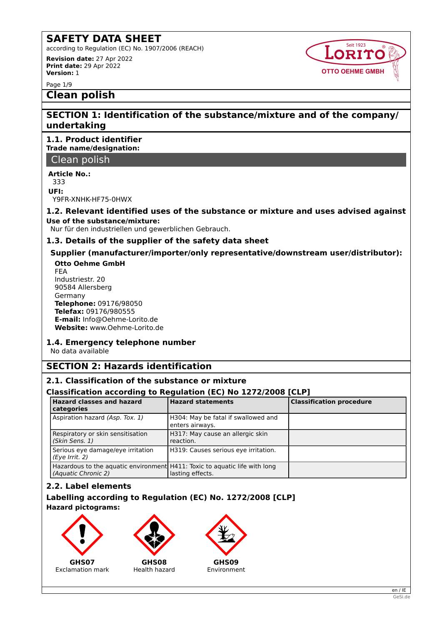according to Regulation (EC) No. 1907/2006 (REACH) **Revision date:** 27 Apr 2022 **Print date:** 29 Apr 2022

**Version:** 1

Page 1/9

# **Clean polish**

# **SECTION 1: Identification of the substance/mixture and of the company/ undertaking**

**1.1. Product identifier Trade name/designation:**

Clean polish

**Article No.:**

333 **UFI:**

Y9FR-XNHK-HF75-0HWX

## **1.2. Relevant identified uses of the substance or mixture and uses advised against Use of the substance/mixture:**

Nur für den industriellen und gewerblichen Gebrauch.

# **1.3. Details of the supplier of the safety data sheet**

# **Supplier (manufacturer/importer/only representative/downstream user/distributor): Otto Oehme GmbH**

FEA Industriestr. 20 90584 Allersberg Germany **Telephone:** 09176/98050 **Telefax:** 09176/980555 **E-mail:** Info@Oehme-Lorito.de **Website:** www.Oehme-Lorito.de

# **1.4. Emergency telephone number**

No data available

# **SECTION 2: Hazards identification**

# **2.1. Classification of the substance or mixture**

# **Classification according to Regulation (EC) No 1272/2008 [CLP]**

| <b>Hazard classes and hazard</b><br>categories                                                    | <b>Hazard statements</b>                               | <b>Classification procedure</b> |
|---------------------------------------------------------------------------------------------------|--------------------------------------------------------|---------------------------------|
| Aspiration hazard (Asp. Tox. 1)                                                                   | H304: May be fatal if swallowed and<br>enters airways. |                                 |
| Respiratory or skin sensitisation<br>(Skin Sens. 1)                                               | H317: May cause an allergic skin<br>reaction.          |                                 |
| Serious eye damage/eye irritation<br>(Eye Irrit. 2)                                               | H319: Causes serious eye irritation.                   |                                 |
| Hazardous to the aquatic environment H411: Toxic to aquatic life with long<br>(Aquatic Chronic 2) | lasting effects.                                       |                                 |

# **2.2. Label elements**

# **Labelling according to Regulation (EC) No. 1272/2008 [CLP] Hazard pictograms:**





**GHS08** Health hazard



Environment



**Seit 1923 ORITO** 

**OTTO OEHME GMBH**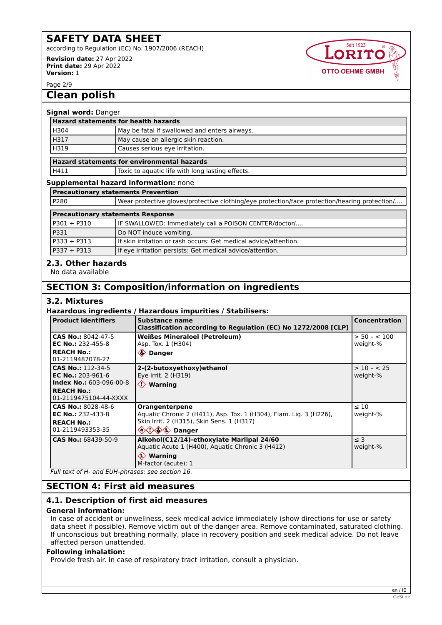according to Regulation (EC) No. 1907/2006 (REACH)

**Revision date:** 27 Apr 2022 **Print date:** 29 Apr 2022 **Version:** 1



Page 2/9

# **Clean polish**

#### **Signal word:** Danger

| <b>Hazard statements for health hazards</b> |                                               |
|---------------------------------------------|-----------------------------------------------|
| H304                                        | May be fatal if swallowed and enters airways. |
| H317                                        | May cause an allergic skin reaction.          |
| H319                                        | Causes serious eye irritation.                |
|                                             |                                               |

## **Hazard statements for environmental hazards**

H411 | Toxic to aquatic life with long lasting effects.

#### **Supplemental hazard information:** none

**Precautionary statements Prevention**

| P280 | Wear protective gloves/protective clothing/eye protection/face protection/hearing protection/ |
|------|-----------------------------------------------------------------------------------------------|
|      |                                                                                               |

| <b>Precautionary statements Response</b> |                                                                  |  |
|------------------------------------------|------------------------------------------------------------------|--|
| P301 + P310                              | IF SWALLOWED: Immediately call a POISON CENTER/doctor/           |  |
| P331                                     | Do NOT induce vomiting.                                          |  |
| P333 + P313                              | If skin irritation or rash occurs: Get medical advice/attention. |  |
| P337 + P313                              | If eye irritation persists: Get medical advice/attention.        |  |

# **2.3. Other hazards**

No data available

# **SECTION 3: Composition/information on ingredients**

## **3.2. Mixtures**

#### **Hazardous ingredients / Hazardous impurities / Stabilisers:**

| <b>Product identifiers</b>                                                       | Substance name<br>Classification according to Regulation (EC) No 1272/2008 [CLP]                                                                                     | <b>Concentration</b>      |  |
|----------------------------------------------------------------------------------|----------------------------------------------------------------------------------------------------------------------------------------------------------------------|---------------------------|--|
| CAS No.: 8042-47-5<br><b>EC No.: 232-455-8</b>                                   | <b>Weißes Mineraloel (Petroleum)</b><br>Asp. Tox. 1 (H304)                                                                                                           | $> 50 - 100$<br>weight-%  |  |
| <b>REACH No.:</b><br>01-2119487078-27                                            | ♦ Danger                                                                                                                                                             |                           |  |
| CAS No.: 112-34-5<br><b>EC No.: 203-961-6</b><br><b>Index No.: 603-096-00-8</b>  | 2-(2-butoxyethoxy) ethanol<br>Eye Irrit. 2 (H319)<br>$\Diamond$ Warning                                                                                              | $> 10 - < 25$<br>weight-% |  |
| <b>REACH No.:</b><br>01-2119475104-44-XXXX                                       |                                                                                                                                                                      |                           |  |
| CAS No.: 8028-48-6<br>EC No.: 232-433-8<br><b>REACH No.:</b><br>01-2119493353-35 | <b>Orangenterpene</b><br>Aquatic Chronic 2 (H411), Asp. Tox. 1 (H304), Flam. Lig. 3 (H226),<br>Skin Irrit. 2 (H315), Skin Sens. 1 (H317)<br><b><i>A</i> A Danger</b> | $\leq 10$<br>weight-%     |  |
| CAS No.: 68439-50-9                                                              | Alkohol(C12/14)-ethoxylate Marlipal 24/60<br>Aquatic Acute 1 (H400), Aquatic Chronic 3 (H412)<br>$\langle \rangle$ Warning<br>M-factor (acute): 1                    | $\leq$ 3<br>weight-%      |  |
| Full text of H- and EUH-phrases: see section 16.                                 |                                                                                                                                                                      |                           |  |

# **SECTION 4: First aid measures**

## **4.1. Description of first aid measures**

#### **General information:**

In case of accident or unwellness, seek medical advice immediately (show directions for use or safety data sheet if possible). Remove victim out of the danger area. Remove contaminated, saturated clothing. If unconscious but breathing normally, place in recovery position and seek medical advice. Do not leave affected person unattended.

#### **Following inhalation:**

Provide fresh air. In case of respiratory tract irritation, consult a physician.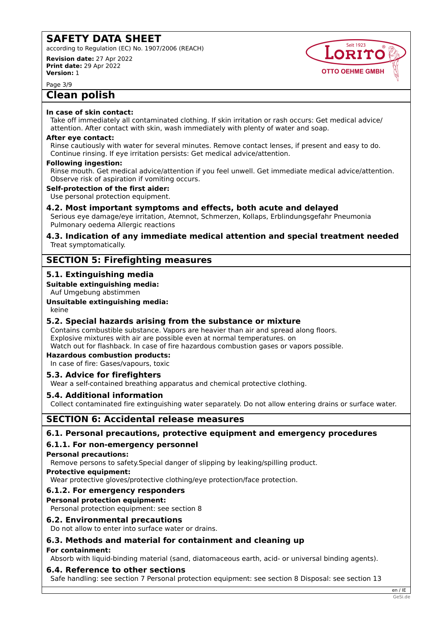according to Regulation (EC) No. 1907/2006 (REACH)

**Revision date:** 27 Apr 2022 **Print date:** 29 Apr 2022 **Version:** 1

**Seit 1923** ORITO **OTTO OEHME GMBH** 

Page 3/9

# **Clean polish**

#### **In case of skin contact:**

Take off immediately all contaminated clothing. If skin irritation or rash occurs: Get medical advice/ attention. After contact with skin, wash immediately with plenty of water and soap.

#### **After eye contact:**

Rinse cautiously with water for several minutes. Remove contact lenses, if present and easy to do. Continue rinsing. If eye irritation persists: Get medical advice/attention.

#### **Following ingestion:**

Rinse mouth. Get medical advice/attention if you feel unwell. Get immediate medical advice/attention. Observe risk of aspiration if vomiting occurs.

#### **Self-protection of the first aider:**

Use personal protection equipment.

## **4.2. Most important symptoms and effects, both acute and delayed**

Serious eye damage/eye irritation, Atemnot, Schmerzen, Kollaps, Erblindungsgefahr Pneumonia Pulmonary oedema Allergic reactions

#### **4.3. Indication of any immediate medical attention and special treatment needed** Treat symptomatically.

# **SECTION 5: Firefighting measures**

# **5.1. Extinguishing media**

**Suitable extinguishing media:**

Auf Umgebung abstimmen

## **Unsuitable extinguishing media:**

#### keine

## **5.2. Special hazards arising from the substance or mixture**

Contains combustible substance. Vapors are heavier than air and spread along floors. Explosive mixtures with air are possible even at normal temperatures. on Watch out for flashback. In case of fire hazardous combustion gases or vapors possible.

## **Hazardous combustion products:**

In case of fire: Gases/vapours, toxic

## **5.3. Advice for firefighters**

Wear a self-contained breathing apparatus and chemical protective clothing.

## **5.4. Additional information**

Collect contaminated fire extinguishing water separately. Do not allow entering drains or surface water.

# **SECTION 6: Accidental release measures**

## **6.1. Personal precautions, protective equipment and emergency procedures**

# **6.1.1. For non-emergency personnel**

**Personal precautions:**

Remove persons to safety.Special danger of slipping by leaking/spilling product.

**Protective equipment:**

Wear protective gloves/protective clothing/eye protection/face protection.

## **6.1.2. For emergency responders**

## **Personal protection equipment:**

Personal protection equipment: see section 8

## **6.2. Environmental precautions**

Do not allow to enter into surface water or drains.

# **6.3. Methods and material for containment and cleaning up**

#### **For containment:**

Absorb with liquid-binding material (sand, diatomaceous earth, acid- or universal binding agents).

## **6.4. Reference to other sections**

Safe handling: see section 7 Personal protection equipment: see section 8 Disposal: see section 13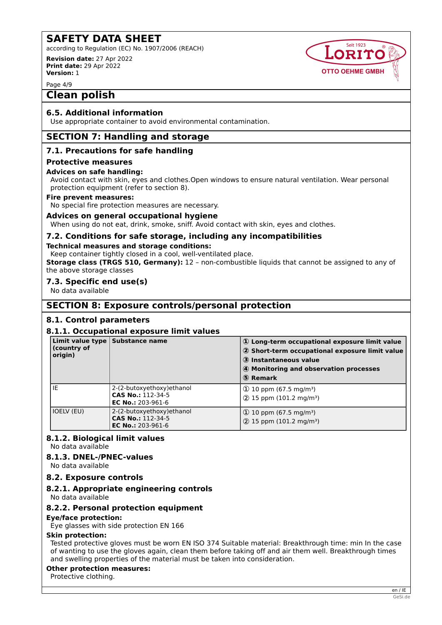according to Regulation (EC) No. 1907/2006 (REACH)

**Revision date:** 27 Apr 2022 **Print date:** 29 Apr 2022 **Version:** 1

Page 4/9

# **Clean polish**

## **6.5. Additional information**

Use appropriate container to avoid environmental contamination.

# **SECTION 7: Handling and storage**

# **7.1. Precautions for safe handling**

#### **Protective measures**

#### **Advices on safe handling:**

Avoid contact with skin, eyes and clothes.Open windows to ensure natural ventilation. Wear personal protection equipment (refer to section 8).

#### **Fire prevent measures:**

No special fire protection measures are necessary.

## **Advices on general occupational hygiene**

When using do not eat, drink, smoke, sniff. Avoid contact with skin, eyes and clothes.

## **7.2. Conditions for safe storage, including any incompatibilities**

#### **Technical measures and storage conditions:**

Keep container tightly closed in a cool, well-ventilated place. **Storage class (TRGS 510, Germany):** 12 - non-combustible liquids that cannot be assigned to any of the above storage classes

## **7.3. Specific end use(s)**

No data available

# **SECTION 8: Exposure controls/personal protection**

## **8.1. Control parameters**

## **8.1.1. Occupational exposure limit values**

| (country of<br>origin) | Limit value type Substance name                                        | 1) Long-term occupational exposure limit value<br>2 Short-term occupational exposure limit value<br>3 Instantaneous value<br>4 Monitoring and observation processes<br>5 Remark |
|------------------------|------------------------------------------------------------------------|---------------------------------------------------------------------------------------------------------------------------------------------------------------------------------|
| IE                     | 2-(2-butoxyethoxy) ethanol<br>CAS No.: 112-34-5<br>EC No.: $203-961-6$ | $\Phi$ 10 ppm (67.5 mg/m <sup>3</sup> )<br>$(2)$ 15 ppm (101.2 mg/m <sup>3</sup> )                                                                                              |
| IOELV (EU)             | 2-(2-butoxyethoxy) ethanol<br>CAS No.: 112-34-5<br>EC No.: $203-961-6$ | (D 10 ppm (67.5 mg/m <sup>3</sup> )<br>2 15 ppm (101.2 mg/m <sup>3</sup> )                                                                                                      |

# **8.1.2. Biological limit values**

No data available

## **8.1.3. DNEL-/PNEC-values**

# No data available

## **8.2. Exposure controls**

## **8.2.1. Appropriate engineering controls**

No data available

## **8.2.2. Personal protection equipment**

**Eye/face protection:**

Eye glasses with side protection EN 166

## **Skin protection:**

Tested protective gloves must be worn EN ISO 374 Suitable material: Breakthrough time: min In the case of wanting to use the gloves again, clean them before taking off and air them well. Breakthrough times and swelling properties of the material must be taken into consideration.

## **Other protection measures:**

Protective clothing.

**Seit 1923** ORITO

**OTTO OEHME GMBH**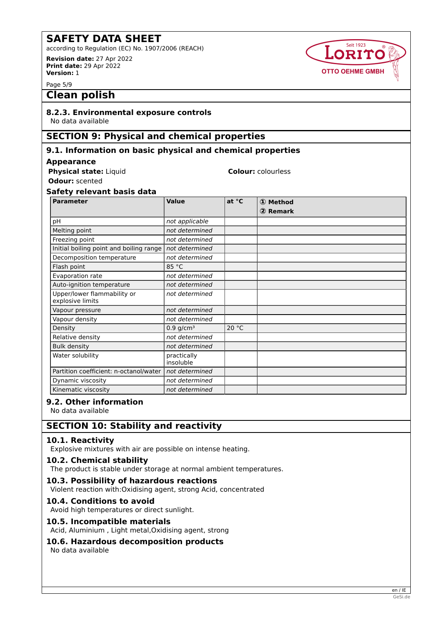according to Regulation (EC) No. 1907/2006 (REACH) **Revision date:** 27 Apr 2022

**Print date:** 29 Apr 2022 **Version:** 1

Page 5/9

# **Clean polish**

# **8.2.3. Environmental exposure controls**

No data available

# **SECTION 9: Physical and chemical properties**

## **9.1. Information on basic physical and chemical properties**

#### **Appearance**

| <b>Physical state: Liquid</b> |  |  |
|-------------------------------|--|--|
|-------------------------------|--|--|

**Odour:** scented

# **Safety relevant basis data**

| <b>Parameter</b>                                | <b>Value</b>             | at °C | 1 Method<br>2 Remark |
|-------------------------------------------------|--------------------------|-------|----------------------|
| pH                                              | not applicable           |       |                      |
| Melting point                                   | not determined           |       |                      |
| Freezing point                                  | not determined           |       |                      |
| Initial boiling point and boiling range         | not determined           |       |                      |
| Decomposition temperature                       | not determined           |       |                      |
| Flash point                                     | 85 °C                    |       |                      |
| Evaporation rate                                | not determined           |       |                      |
| Auto-ignition temperature                       | not determined           |       |                      |
| Upper/lower flammability or<br>explosive limits | not determined           |       |                      |
| Vapour pressure                                 | not determined           |       |                      |
| Vapour density                                  | not determined           |       |                      |
| Density                                         | $0.9$ g/cm <sup>3</sup>  | 20 °C |                      |
| Relative density                                | not determined           |       |                      |
| <b>Bulk density</b>                             | not determined           |       |                      |
| Water solubility                                | practically<br>insoluble |       |                      |
| Partition coefficient: n-octanol/water          | not determined           |       |                      |
| Dynamic viscosity                               | not determined           |       |                      |
| Kinematic viscosity                             | not determined           |       |                      |

**Colour:** colourless

Seit 1923 ORITO

**OTTO OEHME GMBH** 

# **9.2. Other information**

No data available

# **SECTION 10: Stability and reactivity**

# **10.1. Reactivity**

Explosive mixtures with air are possible on intense heating.

## **10.2. Chemical stability**

The product is stable under storage at normal ambient temperatures.

## **10.3. Possibility of hazardous reactions**

Violent reaction with:Oxidising agent, strong Acid, concentrated

## **10.4. Conditions to avoid**

Avoid high temperatures or direct sunlight.

## **10.5. Incompatible materials**

Acid, Aluminium , Light metal,Oxidising agent, strong

## **10.6. Hazardous decomposition products**

No data available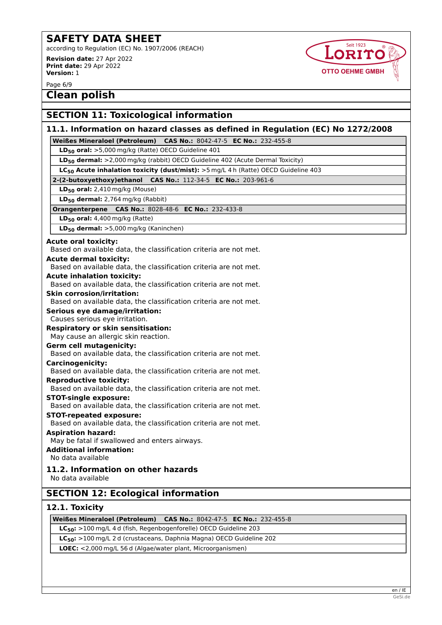according to Regulation (EC) No. 1907/2006 (REACH)

**Revision date:** 27 Apr 2022 **Print date:** 29 Apr 2022 **Version:** 1

**Seit 1923** ORITO **OTTO OEHME GMBH** 

Page 6/9

**Clean polish**

# **SECTION 11: Toxicological information**

# **11.1. Information on hazard classes as defined in Regulation (EC) No 1272/2008**

**Weißes Mineraloel (Petroleum) CAS No.:** 8042-47-5 **EC No.:** 232-455-8

**LD50 oral:** >5,000 mg/kg (Ratte) OECD Guideline 401

**LD50 dermal:** >2,000 mg/kg (rabbit) OECD Guideline 402 (Acute Dermal Toxicity)

**LC50 Acute inhalation toxicity (dust/mist):** >5 mg/L 4 h (Ratte) OECD Guideline 403

### **2-(2-butoxyethoxy)ethanol CAS No.:** 112-34-5 **EC No.:** 203-961-6

**LD50 oral:** 2,410 mg/kg (Mouse)

**LD50 dermal:** 2,764 mg/kg (Rabbit)

#### **Orangenterpene CAS No.:** 8028-48-6 **EC No.:** 232-433-8

#### **LD50 oral:** 4,400 mg/kg (Ratte)

**LD50 dermal:** >5,000 mg/kg (Kaninchen)

#### **Acute oral toxicity:**

Based on available data, the classification criteria are not met.

### **Acute dermal toxicity:**

Based on available data, the classification criteria are not met.

**Acute inhalation toxicity:**

Based on available data, the classification criteria are not met.

#### **Skin corrosion/irritation:**

Based on available data, the classification criteria are not met.

**Serious eye damage/irritation:**

#### Causes serious eye irritation.

## **Respiratory or skin sensitisation:**

May cause an allergic skin reaction.

## **Germ cell mutagenicity:**

Based on available data, the classification criteria are not met.

#### **Carcinogenicity:**

Based on available data, the classification criteria are not met.

**Reproductive toxicity:**

Based on available data, the classification criteria are not met.

#### **STOT-single exposure:**

Based on available data, the classification criteria are not met.

# **STOT-repeated exposure:**

Based on available data, the classification criteria are not met.

## **Aspiration hazard:**

May be fatal if swallowed and enters airways.

# **Additional information:**

No data available

# **11.2. Information on other hazards**

No data available

# **SECTION 12: Ecological information**

# **12.1. Toxicity**

**Weißes Mineraloel (Petroleum) CAS No.:** 8042-47-5 **EC No.:** 232-455-8

**LC50:** >100 mg/L 4 d (fish, Regenbogenforelle) OECD Guideline 203

**LC50:** >100 mg/L 2 d (crustaceans, Daphnia Magna) OECD Guideline 202

**LOEC:** <2,000 mg/L 56 d (Algae/water plant, Microorganismen)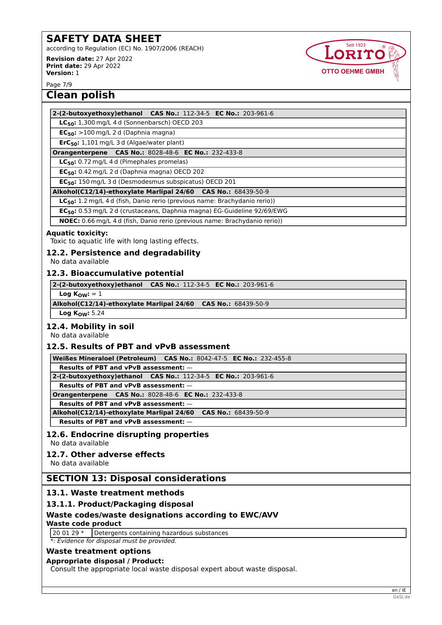according to Regulation (EC) No. 1907/2006 (REACH) **Revision date:** 27 Apr 2022

**Print date:** 29 Apr 2022 **Version:** 1



Page 7/9

# **Clean polish**

#### **2-(2-butoxyethoxy)ethanol CAS No.:** 112-34-5 **EC No.:** 203-961-6

**LC50:** 1,300 mg/L 4 d (Sonnenbarsch) OECD 203

**EC50:** >100 mg/L 2 d (Daphnia magna)

**ErC50:** 1,101 mg/L 3 d (Algae/water plant)

#### **Orangenterpene CAS No.:** 8028-48-6 **EC No.:** 232-433-8

**LC50:** 0.72 mg/L 4 d (Pimephales promelas)

**EC50:** 0.42 mg/L 2 d (Daphnia magna) OECD 202

**EC50:** 150 mg/L 3 d (Desmodesmus subspicatus) OECD 201

**Alkohol(C12/14)-ethoxylate Marlipal 24/60 CAS No.:** 68439-50-9

**LC50:** 1.2 mg/L 4 d (fish, Danio rerio (previous name: Brachydanio rerio))

**EC50:** 0.53 mg/L 2 d (crustaceans, Daphnia magna) EG-Guideline 92/69/EWG

**NOEC:** 0.66 mg/L 4 d (fish, Danio rerio (previous name: Brachydanio rerio))

#### **Aquatic toxicity:**

Toxic to aquatic life with long lasting effects.

#### **12.2. Persistence and degradability**

No data available

#### **12.3. Bioaccumulative potential**

**2-(2-butoxyethoxy)ethanol CAS No.:** 112-34-5 **EC No.:** 203-961-6

 $Log K<sub>OW</sub>: = 1$ 

**Alkohol(C12/14)-ethoxylate Marlipal 24/60 CAS No.:** 68439-50-9

**Log KOW:** 5.24

## **12.4. Mobility in soil**

No data available

## **12.5. Results of PBT and vPvB assessment**

**Weißes Mineraloel (Petroleum) CAS No.:** 8042-47-5 **EC No.:** 232-455-8

**Results of PBT and vPvB assessment:** —

**2-(2-butoxyethoxy)ethanol CAS No.:** 112-34-5 **EC No.:** 203-961-6

**Results of PBT and vPvB assessment:** —

**Orangenterpene CAS No.:** 8028-48-6 **EC No.:** 232-433-8

**Results of PBT and vPvB assessment:** —

**Alkohol(C12/14)-ethoxylate Marlipal 24/60 CAS No.:** 68439-50-9

**Results of PBT and vPvB assessment:** —

# **12.6. Endocrine disrupting properties**

No data available

## **12.7. Other adverse effects**

No data available

# **SECTION 13: Disposal considerations**

# **13.1. Waste treatment methods**

# **13.1.1. Product/Packaging disposal**

# **Waste codes/waste designations according to EWC/AVV**

# **Waste code product**

20 01 29 \* Detergents containing hazardous substances

*\*: Evidence for disposal must be provided.*

## **Waste treatment options**

## **Appropriate disposal / Product:**

Consult the appropriate local waste disposal expert about waste disposal.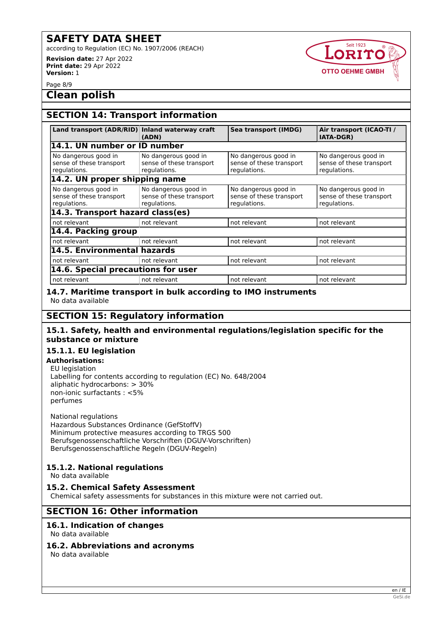according to Regulation (EC) No. 1907/2006 (REACH)

**Revision date:** 27 Apr 2022 **Print date:** 29 Apr 2022 **Version:** 1



Page 8/9

# **Clean polish**

# **SECTION 14: Transport information**

| Land transport (ADR/RID) Inland waterway craft                   | (ADN)                                                            | Sea transport (IMDG)                                             | Air transport (ICAO-TI /<br><b>IATA-DGR)</b>                     |
|------------------------------------------------------------------|------------------------------------------------------------------|------------------------------------------------------------------|------------------------------------------------------------------|
| 14.1. UN number or ID number                                     |                                                                  |                                                                  |                                                                  |
| No dangerous good in<br>sense of these transport<br>regulations. | No dangerous good in<br>sense of these transport<br>regulations. | No dangerous good in<br>sense of these transport<br>regulations. | No dangerous good in<br>sense of these transport<br>regulations. |
| 14.2. UN proper shipping name                                    |                                                                  |                                                                  |                                                                  |
| No dangerous good in<br>sense of these transport<br>regulations. | No dangerous good in<br>sense of these transport<br>regulations. | No dangerous good in<br>sense of these transport<br>regulations. | No dangerous good in<br>sense of these transport<br>regulations. |
| 14.3. Transport hazard class(es)                                 |                                                                  |                                                                  |                                                                  |
| not relevant                                                     | not relevant                                                     | not relevant                                                     | not relevant                                                     |
| 14.4. Packing group                                              |                                                                  |                                                                  |                                                                  |
| not relevant                                                     | not relevant                                                     | not relevant                                                     | not relevant                                                     |
| 14.5. Environmental hazards                                      |                                                                  |                                                                  |                                                                  |
| not relevant                                                     | not relevant                                                     | not relevant                                                     | not relevant                                                     |
| 14.6. Special precautions for user                               |                                                                  |                                                                  |                                                                  |
| not relevant                                                     | not relevant                                                     | not relevant                                                     | not relevant                                                     |

## **14.7. Maritime transport in bulk according to IMO instruments** No data available

# **SECTION 15: Regulatory information**

## **15.1. Safety, health and environmental regulations/legislation specific for the substance or mixture**

## **15.1.1. EU legislation**

## **Authorisations:**

EU legislation Labelling for contents according to regulation (EC) No. 648/2004 aliphatic hydrocarbons: > 30% non-ionic surfactants : <5% perfumes

National regulations Hazardous Substances Ordinance (GefStoffV) Minimum protective measures according to TRGS 500 Berufsgenossenschaftliche Vorschriften (DGUV-Vorschriften) Berufsgenossenschaftliche Regeln (DGUV-Regeln)

# **15.1.2. National regulations**

No data available

# **15.2. Chemical Safety Assessment**

Chemical safety assessments for substances in this mixture were not carried out.

# **SECTION 16: Other information**

# **16.1. Indication of changes**

No data available

## **16.2. Abbreviations and acronyms**

No data available